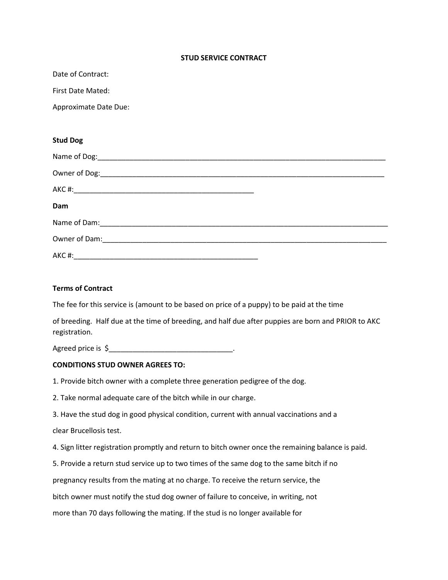## STUD SERVICE CONTRACT

Date of Contract:

First Date Mated:

Approximate Date Due:

## Stud Dog

| Dam   |  |  |
|-------|--|--|
|       |  |  |
|       |  |  |
| AKC#: |  |  |

## Terms of Contract

The fee for this service is (amount to be based on price of a puppy) to be paid at the time

of breeding. Half due at the time of breeding, and half due after puppies are born and PRIOR to AKC registration.

Agreed price is \$\_\_\_\_\_\_\_\_\_\_\_\_\_\_\_\_\_\_\_\_\_\_\_\_\_\_\_\_\_\_\_\_.

## CONDITIONS STUD OWNER AGREES TO:

1. Provide bitch owner with a complete three generation pedigree of the dog.

2. Take normal adequate care of the bitch while in our charge.

3. Have the stud dog in good physical condition, current with annual vaccinations and a

clear Brucellosis test.

4. Sign litter registration promptly and return to bitch owner once the remaining balance is paid.

5. Provide a return stud service up to two times of the same dog to the same bitch if no

pregnancy results from the mating at no charge. To receive the return service, the

bitch owner must notify the stud dog owner of failure to conceive, in writing, not

more than 70 days following the mating. If the stud is no longer available for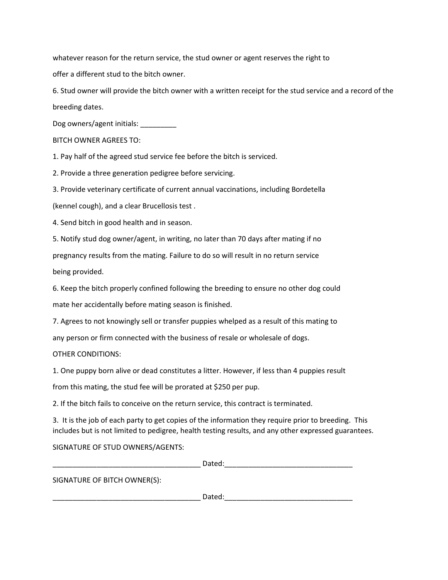whatever reason for the return service, the stud owner or agent reserves the right to

offer a different stud to the bitch owner.

6. Stud owner will provide the bitch owner with a written receipt for the stud service and a record of the breeding dates.

Dog owners/agent initials:

BITCH OWNER AGREES TO:

1. Pay half of the agreed stud service fee before the bitch is serviced.

2. Provide a three generation pedigree before servicing.

3. Provide veterinary certificate of current annual vaccinations, including Bordetella

(kennel cough), and a clear Brucellosis test .

4. Send bitch in good health and in season.

5. Notify stud dog owner/agent, in writing, no later than 70 days after mating if no

pregnancy results from the mating. Failure to do so will result in no return service

being provided.

6. Keep the bitch properly confined following the breeding to ensure no other dog could

mate her accidentally before mating season is finished.

7. Agrees to not knowingly sell or transfer puppies whelped as a result of this mating to

any person or firm connected with the business of resale or wholesale of dogs.

OTHER CONDITIONS:

1. One puppy born alive or dead constitutes a litter. However, if less than 4 puppies result

from this mating, the stud fee will be prorated at \$250 per pup.

2. If the bitch fails to conceive on the return service, this contract is terminated.

3. It is the job of each party to get copies of the information they require prior to breeding. This includes but is not limited to pedigree, health testing results, and any other expressed guarantees.

SIGNATURE OF STUD OWNERS/AGENTS:

|                              | Dated: |  |
|------------------------------|--------|--|
| SIGNATURE OF BITCH OWNER(S): |        |  |
|                              | Dated: |  |